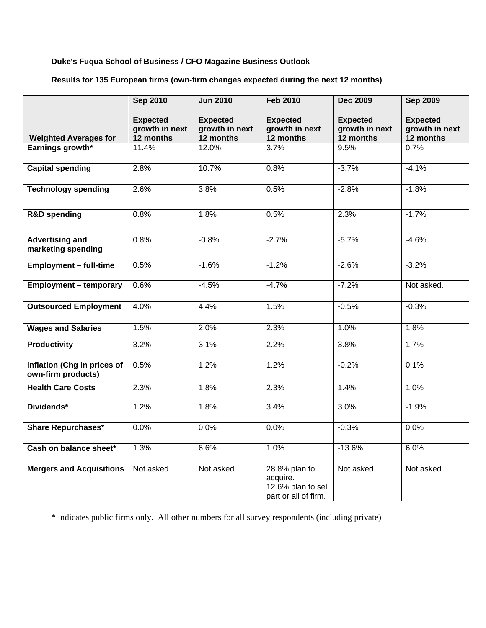## **Duke's Fuqua School of Business / CFO Magazine Business Outlook**

# **Results for 135 European firms (own-firm changes expected during the next 12 months)**

|                                                          | <b>Sep 2010</b>                                | <b>Jun 2010</b>                                | <b>Feb 2010</b>                                                         | <b>Dec 2009</b>                                | <b>Sep 2009</b>                                |
|----------------------------------------------------------|------------------------------------------------|------------------------------------------------|-------------------------------------------------------------------------|------------------------------------------------|------------------------------------------------|
| <b>Weighted Averages for</b>                             | <b>Expected</b><br>growth in next<br>12 months | <b>Expected</b><br>growth in next<br>12 months | <b>Expected</b><br>growth in next<br>12 months                          | <b>Expected</b><br>growth in next<br>12 months | <b>Expected</b><br>growth in next<br>12 months |
| Earnings growth*                                         | 11.4%                                          | 12.0%                                          | 3.7%                                                                    | 9.5%                                           | 0.7%                                           |
|                                                          |                                                |                                                |                                                                         |                                                |                                                |
| <b>Capital spending</b>                                  | 2.8%                                           | 10.7%                                          | 0.8%                                                                    | $-3.7%$                                        | $-4.1%$                                        |
| <b>Technology spending</b>                               | 2.6%                                           | 3.8%                                           | 0.5%                                                                    | $-2.8%$                                        | $-1.8%$                                        |
| <b>R&amp;D spending</b>                                  | 0.8%                                           | 1.8%                                           | 0.5%                                                                    | 2.3%                                           | $-1.7%$                                        |
| <b>Advertising and</b><br>marketing spending             | 0.8%                                           | $-0.8%$                                        | $-2.7%$                                                                 | $-5.7%$                                        | $-4.6%$                                        |
| <b>Employment - full-time</b>                            | 0.5%                                           | $-1.6%$                                        | $-1.2%$                                                                 | $-2.6%$                                        | $-3.2%$                                        |
| <b>Employment - temporary</b>                            | 0.6%                                           | $-4.5%$                                        | $-4.7%$                                                                 | $-7.2%$                                        | Not asked.                                     |
| <b>Outsourced Employment</b>                             | 4.0%                                           | 4.4%                                           | 1.5%                                                                    | $-0.5%$                                        | $-0.3%$                                        |
| <b>Wages and Salaries</b>                                | 1.5%                                           | 2.0%                                           | 2.3%                                                                    | 1.0%                                           | 1.8%                                           |
| <b>Productivity</b>                                      | 3.2%                                           | 3.1%                                           | 2.2%                                                                    | 3.8%                                           | 1.7%                                           |
| <b>Inflation (Chg in prices of</b><br>own-firm products) | 0.5%                                           | 1.2%                                           | 1.2%                                                                    | $-0.2%$                                        | 0.1%                                           |
| <b>Health Care Costs</b>                                 | 2.3%                                           | 1.8%                                           | 2.3%                                                                    | 1.4%                                           | 1.0%                                           |
| Dividends*                                               | 1.2%                                           | 1.8%                                           | 3.4%                                                                    | 3.0%                                           | $-1.9%$                                        |
| <b>Share Repurchases*</b>                                | 0.0%                                           | 0.0%                                           | 0.0%                                                                    | $-0.3%$                                        | 0.0%                                           |
| Cash on balance sheet*                                   | 1.3%                                           | 6.6%                                           | 1.0%                                                                    | $-13.6%$                                       | 6.0%                                           |
| <b>Mergers and Acquisitions</b>                          | Not asked.                                     | Not asked.                                     | 28.8% plan to<br>acquire.<br>12.6% plan to sell<br>part or all of firm. | Not asked.                                     | Not asked.                                     |

\* indicates public firms only. All other numbers for all survey respondents (including private)